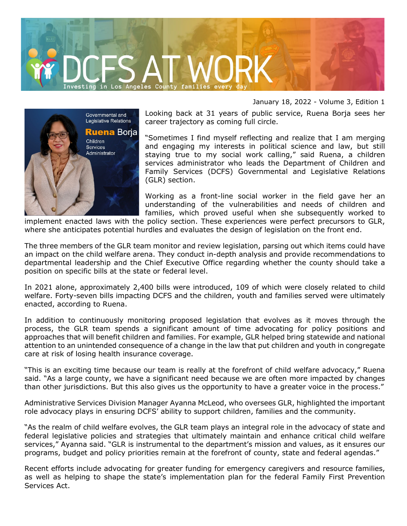



January 18, 2022 - Volume 3, Edition 1

Looking back at 31 years of public service, Ruena Borja sees her career trajectory as coming full circle.

"Sometimes I find myself reflecting and realize that I am merging and engaging my interests in political science and law, but still staying true to my social work calling," said Ruena, a children services administrator who leads the Department of Children and Family Services (DCFS) Governmental and Legislative Relations (GLR) section.

Working as a front-line social worker in the field gave her an understanding of the vulnerabilities and needs of children and families, which proved useful when she subsequently worked to

implement enacted laws with the policy section. These experiences were perfect precursors to GLR, where she anticipates potential hurdles and evaluates the design of legislation on the front end.

The three members of the GLR team monitor and review legislation, parsing out which items could have an impact on the child welfare arena. They conduct in-depth analysis and provide recommendations to departmental leadership and the Chief Executive Office regarding whether the county should take a position on specific bills at the state or federal level.

In 2021 alone, approximately 2,400 bills were introduced, 109 of which were closely related to child welfare. Forty-seven bills impacting DCFS and the children, youth and families served were ultimately enacted, according to Ruena.

In addition to continuously monitoring proposed legislation that evolves as it moves through the process, the GLR team spends a significant amount of time advocating for policy positions and approaches that will benefit children and families. For example, GLR helped bring statewide and national attention to an unintended consequence of a change in the law that put children and youth in congregate care at risk of losing health insurance coverage.

"This is an exciting time because our team is really at the forefront of child welfare advocacy," Ruena said. "As a large county, we have a significant need because we are often more impacted by changes than other jurisdictions. But this also gives us the opportunity to have a greater voice in the process."

Administrative Services Division Manager Ayanna McLeod, who oversees GLR, highlighted the important role advocacy plays in ensuring DCFS' ability to support children, families and the community.

"As the realm of child welfare evolves, the GLR team plays an integral role in the advocacy of state and federal legislative policies and strategies that ultimately maintain and enhance critical child welfare services," Ayanna said. "GLR is instrumental to the department's mission and values, as it ensures our programs, budget and policy priorities remain at the forefront of county, state and federal agendas."

Recent efforts include advocating for greater funding for emergency caregivers and resource families, as well as helping to shape the state's implementation plan for the federal Family First Prevention Services Act.